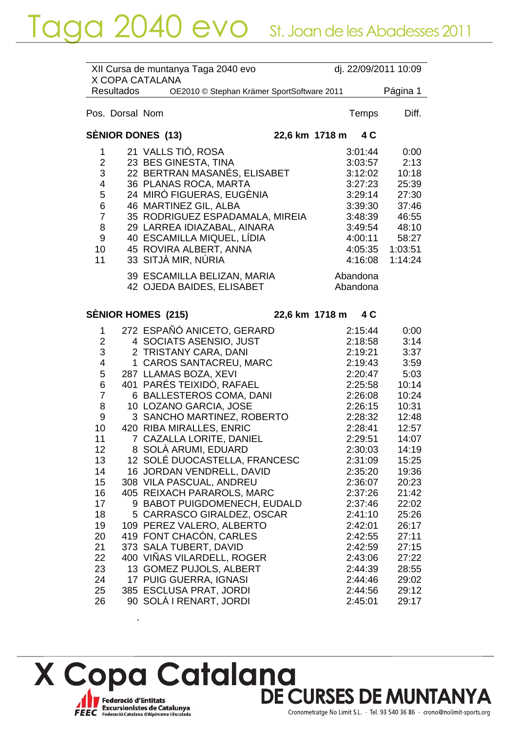|                           |                   | XII Cursa de muntanya Taga 2040 evo<br>X COPA CATALANA | dj. 22/09/2011 10:09  |                |
|---------------------------|-------------------|--------------------------------------------------------|-----------------------|----------------|
|                           | <b>Resultados</b> | OE2010 © Stephan Krämer SportSoftware 2011             |                       | Página 1       |
|                           | Pos. Dorsal Nom   |                                                        | Temps                 | Diff.          |
|                           |                   | SÈNIOR DONES (13)                                      | 22,6 km 1718 m<br>4 C |                |
| 1                         |                   | 21 VALLS TIÓ, ROSA                                     | 3:01:44               | 0:00           |
| $\overline{2}$            |                   | 23 BES GINESTA, TINA                                   | 3:03:57               | 2:13           |
| $\ensuremath{\mathsf{3}}$ |                   | 22 BERTRAN MASANÉS, ELISABET                           | 3:12:02               | 10:18          |
| 4                         |                   | 36 PLANAS ROCA, MARTA                                  | 3:27:23               | 25:39          |
| 5                         |                   | 24 MIRÓ FIGUERAS, EUGÈNIA                              | 3:29:14               | 27:30          |
| $\,6$                     |                   | 46 MARTINEZ GIL, ALBA                                  | 3:39:30               | 37:46          |
| $\overline{7}$            |                   | 35 RODRIGUEZ ESPADAMALA, MIREIA                        | 3:48:39               | 46:55          |
| 8                         |                   | 29 LARREA IDIAZABAL, AINARA                            | 3:49:54               | 48:10          |
| 9                         |                   | 40 ESCAMILLA MIQUEL, LÍDIA                             | 4:00:11               | 58:27          |
| 10 <sup>1</sup>           |                   | 45 ROVIRA ALBERT, ANNA                                 | 4:05:35               | 1:03:51        |
| 11                        |                   | 33 SITJÀ MIR, NÚRIA                                    | 4:16:08               | 1:14:24        |
|                           |                   | 39 ESCAMILLA BELIZAN, MARIA                            | Abandona              |                |
|                           |                   | 42 OJEDA BAIDES, ELISABET                              | Abandona              |                |
|                           |                   |                                                        |                       |                |
|                           |                   | SÈNIOR HOMES (215)                                     | 22,6 km 1718 m<br>4 C |                |
| 1                         |                   | 272 ESPAÑÓ ANICETO, GERARD                             | 2:15:44               | 0:00           |
| $\overline{2}$            |                   | 4 SOCIATS ASENSIO, JUST                                | 2:18:58               | 3:14           |
| $\ensuremath{\mathsf{3}}$ |                   | 2 TRISTANY CARA, DANI                                  | 2:19:21               | 3:37           |
| $\overline{\mathcal{A}}$  |                   | 1 CAROS SANTACREU, MARC                                | 2:19:43               | 3:59           |
| 5                         |                   | 287 LLAMAS BOZA, XEVI                                  | 2:20:47               | 5:03           |
| 6                         |                   | 401 PARÉS TEIXIDÓ, RAFAEL                              | 2:25:58               | 10:14          |
| $\overline{7}$            |                   | 6 BALLESTEROS COMA, DANI                               | 2:26:08               | 10:24          |
| 8                         |                   | 10 LOZANO GARCIA, JOSE                                 | 2:26:15               | 10:31          |
| $9\,$                     |                   | 3 SANCHO MARTINEZ, ROBERTO                             | 2:28:32               | 12:48          |
| 10 <sup>°</sup>           |                   | 420 RIBA MIRALLES, ENRIC                               | 2:28:41               | 12:57          |
| 11                        |                   | 7 CAZALLA LORITE, DANIEL                               | 2:29:51               | 14:07          |
| 12                        |                   | 8 SOLÀ ARUMI, EDUARD                                   | 2:30:03               | 14:19          |
| 13                        |                   | 12 SOLÉ DUOCASTELLA, FRANCESC                          | 2:31:09               | 15:25          |
| 14                        |                   | 16 JORDAN VENDRELL, DAVID                              | 2:35:20               | 19:36          |
| 15                        |                   | 308 VILA PASCUAL, ANDREU<br>405 REIXACH PARAROLS, MARC | 2:36:07               | 20:23          |
| 16<br>17                  |                   | 9 BABOT PUIGDOMENECH, EUDALD                           | 2:37:26<br>2:37:46    | 21:42<br>22:02 |
| 18                        |                   | 5 CARRASCO GIRALDEZ, OSCAR                             | 2:41:10               | 25:26          |
| 19                        |                   | 109 PEREZ VALERO, ALBERTO                              | 2:42:01               | 26:17          |
| 20                        |                   | 419 FONT CHACON, CARLES                                | 2:42:55               | 27:11          |
| 21                        |                   | 373 SALA TUBERT, DAVID                                 | 2:42:59               | 27:15          |
| 22                        |                   | 400 VIÑAS VILARDELL, ROGER                             | 2:43:06               | 27:22          |
| 23                        |                   | 13 GOMEZ PUJOLS, ALBERT                                | 2:44:39               | 28:55          |
| 24                        |                   | 17 PUIG GUERRA, IGNASI                                 | 2:44:46               | 29:02          |
| 25                        |                   | 385 ESCLUSA PRAT, JORDI                                | 2:44:56               | 29:12          |
| 26                        |                   | 90 SOLÀ I RENART, JORDI                                | 2:45:01               | 29:17          |
|                           |                   |                                                        |                       |                |

X Copa Catalana<br>DE CURSES DE MUNTANYA Federació d'Entitats<br>FEEC Federació Catalana d'Alpinisme i Escalada

 $\ddot{\phantom{a}}$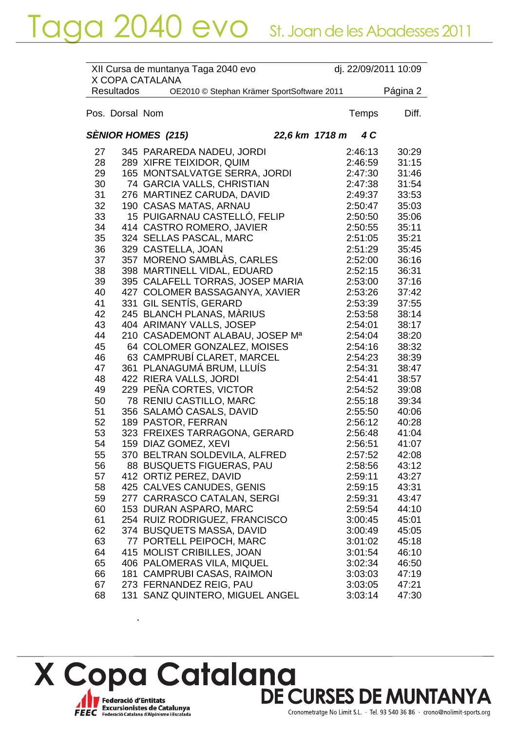|    |                   | XII Cursa de muntanya Taga 2040 evo        | dj. 22/09/2011 10:09 |          |
|----|-------------------|--------------------------------------------|----------------------|----------|
|    |                   | X COPA CATALANA                            |                      |          |
|    | <b>Resultados</b> | OE2010 © Stephan Krämer SportSoftware 2011 |                      | Página 2 |
|    | Pos. Dorsal Nom   |                                            | Temps                | Diff.    |
|    |                   |                                            |                      |          |
|    |                   | SÈNIOR HOMES  (215)<br>22,6 km 1718 m      | 4 C                  |          |
| 27 |                   | 345 PARAREDA NADEU, JORDI                  | 2:46:13              | 30:29    |
| 28 |                   | 289 XIFRE TEIXIDOR, QUIM                   | 2:46:59              | 31:15    |
| 29 |                   | 165 MONTSALVATGE SERRA, JORDI              | 2:47:30              | 31:46    |
| 30 |                   | 74 GARCIA VALLS, CHRISTIAN                 | 2:47:38              | 31:54    |
| 31 |                   | 276 MARTINEZ CARUDA, DAVID                 | 2:49:37              | 33:53    |
| 32 |                   | 190 CASAS MATAS, ARNAU                     | 2:50:47              | 35:03    |
| 33 |                   | 15 PUIGARNAU CASTELLÓ, FELIP               | 2:50:50              | 35:06    |
| 34 |                   | 414 CASTRO ROMERO, JAVIER                  | 2:50:55              | 35:11    |
| 35 |                   | 324 SELLAS PASCAL, MARC                    | 2:51:05              | 35:21    |
| 36 |                   | 329 CASTELLA, JOAN                         | 2:51:29              | 35:45    |
| 37 |                   | 357 MORENO SAMBLAS, CARLES                 | 2:52:00              | 36:16    |
| 38 |                   | 398 MARTINELL VIDAL, EDUARD                | 2:52:15              | 36:31    |
| 39 |                   | 395 CALAFELL TORRAS, JOSEP MARIA           | 2:53:00              | 37:16    |
| 40 |                   | 427 COLOMER BASSAGANYA, XAVIER             | 2:53:26              | 37:42    |
| 41 |                   | 331 GIL SENTÍS, GERARD                     | 2:53:39              | 37:55    |
| 42 |                   | 245 BLANCH PLANAS, MÀRIUS                  | 2:53:58              | 38:14    |
| 43 |                   | 404 ARIMANY VALLS, JOSEP                   | 2:54:01              | 38:17    |
| 44 |                   | 210 CASADEMONT ALABAU, JOSEP Ma            | 2:54:04              | 38:20    |
| 45 |                   | 64 COLOMER GONZALEZ, MOISES                | 2:54:16              | 38:32    |
| 46 |                   | 63 CAMPRUBÍ CLARET, MARCEL                 | 2:54:23              | 38:39    |
| 47 |                   | 361 PLANAGUMÁ BRUM, LLUÍS                  | 2:54:31              |          |
|    |                   |                                            |                      | 38:47    |
| 48 |                   | 422 RIERA VALLS, JORDI                     | 2:54:41              | 38:57    |
| 49 |                   | 229 PEÑA CORTES, VICTOR                    | 2:54:52              | 39:08    |
| 50 |                   | 78 RENIU CASTILLO, MARC                    | 2:55:18              | 39:34    |
| 51 |                   | 356 SALAMÓ CASALS, DAVID                   | 2:55:50              | 40:06    |
| 52 |                   | 189 PASTOR, FERRAN                         | 2:56:12              | 40:28    |
| 53 |                   | 323 FREIXES TARRAGONA, GERARD              | 2:56:48              | 41:04    |
| 54 |                   | 159 DIAZ GOMEZ, XEVI                       | 2:56:51              | 41:07    |
| 55 |                   | 370 BELTRAN SOLDEVILA, ALFRED              | 2:57:52              | 42:08    |
| 56 |                   | 88 BUSQUETS FIGUERAS, PAU                  | 2:58:56              | 43:12    |
| 57 |                   | 412 ORTIZ PEREZ, DAVID                     | 2:59:11              | 43:27    |
| 58 |                   | 425 CALVES CANUDES, GENIS                  | 2:59:15              | 43:31    |
| 59 |                   | 277 CARRASCO CATALAN, SERGI                | 2:59:31              | 43:47    |
| 60 |                   | 153 DURAN ASPARO, MARC                     | 2:59:54              | 44:10    |
| 61 |                   | 254 RUIZ RODRIGUEZ, FRANCISCO              | 3:00:45              | 45:01    |
| 62 |                   | 374 BUSQUETS MASSA, DAVID                  | 3:00:49              | 45:05    |
| 63 |                   | 77 PORTELL PEIPOCH, MARC                   | 3:01:02              | 45:18    |
| 64 |                   | 415 MOLIST CRIBILLES, JOAN                 | 3:01:54              | 46:10    |
| 65 |                   | 406 PALOMERAS VILA, MIQUEL                 | 3:02:34              | 46:50    |
| 66 |                   | 181 CAMPRUBI CASAS, RAIMON                 | 3:03:03              | 47:19    |
| 67 |                   | 273 FERNANDEZ REIG, PAU                    | 3:03:05              | 47:21    |
| 68 |                   | 131 SANZ QUINTERO, MIGUEL ANGEL            | 3:03:14              | 47:30    |

X Copa Catalana<br>DE CURSES DE MUNTANYA Federació d'Entitats<br>FEEC Federació Catalana d'Alpinisme i Escalada

 $\ddot{\phantom{a}}$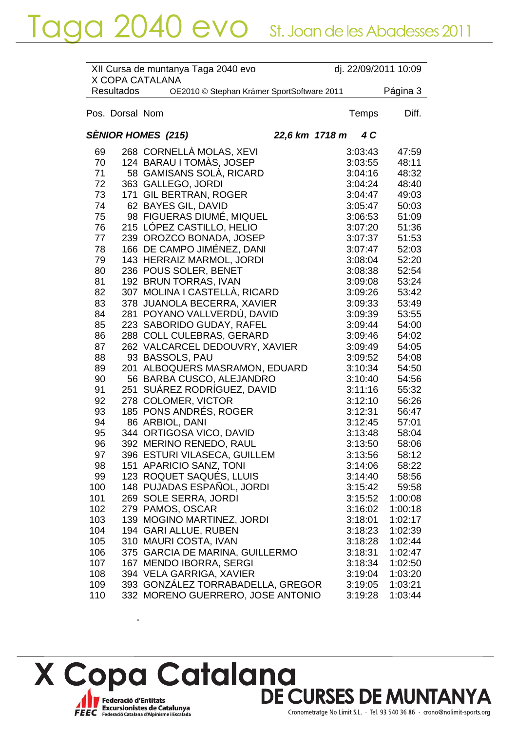|     |                   | XII Cursa de muntanya Taga 2040 evo<br>X COPA CATALANA |                |         | dj. 22/09/2011 10:09 |
|-----|-------------------|--------------------------------------------------------|----------------|---------|----------------------|
|     | <b>Resultados</b> | OE2010 © Stephan Krämer SportSoftware 2011             |                |         | Página 3             |
|     | Pos. Dorsal Nom   |                                                        |                | Temps   | Diff.                |
|     |                   | <b>SÈNIOR HOMES (215)</b>                              | 22,6 km 1718 m | 4 C     |                      |
| 69  |                   | 268 CORNELLÀ MOLAS, XEVI                               |                | 3:03:43 | 47:59                |
| 70  |                   | 124 BARAU I TOMÀS, JOSEP                               |                | 3:03:55 | 48:11                |
| 71  |                   | 58 GAMISANS SOLÀ, RICARD                               |                | 3:04:16 | 48:32                |
| 72  |                   | 363 GALLEGO, JORDI                                     |                | 3:04:24 | 48:40                |
| 73  |                   | 171 GIL BERTRAN, ROGER                                 |                | 3:04:47 | 49:03                |
| 74  |                   | 62 BAYES GIL, DAVID                                    |                | 3:05:47 | 50:03                |
| 75  |                   | 98 FIGUERAS DIUMÉ, MIQUEL                              |                | 3:06:53 | 51:09                |
| 76  |                   | 215 LÓPEZ CASTILLO, HELIO                              |                | 3:07:20 | 51:36                |
| 77  |                   | 239 OROZCO BONADA, JOSEP                               |                | 3:07:37 | 51:53                |
| 78  |                   | 166 DE CAMPO JIMÉNEZ, DANI                             |                | 3:07:47 | 52:03                |
| 79  |                   | 143 HERRAIZ MARMOL, JORDI                              |                | 3:08:04 | 52:20                |
| 80  |                   | 236 POUS SOLER, BENET                                  |                | 3:08:38 | 52:54                |
| 81  |                   | 192 BRUN TORRAS, IVAN                                  |                | 3:09:08 | 53:24                |
| 82  |                   | 307 MOLINA I CASTELLÀ, RICARD                          |                | 3:09:26 | 53:42                |
| 83  |                   | 378 JUANOLA BECERRA, XAVIER                            |                | 3:09:33 | 53:49                |
| 84  |                   | 281 POYANO VALLVERDÚ, DAVID                            |                | 3:09:39 | 53:55                |
| 85  |                   | 223 SABORIDO GUDAY, RAFEL                              |                | 3:09:44 | 54:00                |
| 86  |                   | 288 COLL CULEBRAS, GERARD                              |                | 3:09:46 | 54:02                |
| 87  |                   | 262 VALCARCEL DEDOUVRY, XAVIER                         |                | 3:09:49 | 54:05                |
| 88  |                   | 93 BASSOLS, PAU                                        |                | 3:09:52 | 54:08                |
| 89  |                   | 201 ALBOQUERS MASRAMON, EDUARD                         |                | 3:10:34 | 54:50                |
| 90  |                   | 56 BARBA CUSCO, ALEJANDRO                              |                | 3:10:40 | 54:56                |
| 91  |                   | 251 SUÁREZ RODRÍGUEZ, DAVID                            |                | 3:11:16 | 55:32                |
| 92  |                   | 278 COLOMER, VICTOR                                    |                | 3:12:10 | 56:26                |
| 93  |                   | 185 PONS ANDRÉS, ROGER                                 |                | 3:12:31 | 56:47                |
| 94  |                   | 86 ARBIOL, DANI                                        |                | 3:12:45 | 57:01                |
| 95  |                   | 344 ORTIGOSA VICO, DAVID                               |                | 3:13:48 | 58:04                |
| 96  |                   | 392 MERINO RENEDO, RAUL                                |                | 3:13:50 | 58:06                |
| 97  |                   | 396 ESTURI VILASECA, GUILLEM                           |                | 3:13:56 | 58:12                |
| 98  |                   | 151 APARICIO SANZ, TONI                                |                | 3:14:06 | 58:22                |
| 99  |                   | 123 ROQUET SAQUÉS, LLUIS                               |                | 3:14:40 | 58:56                |
| 100 |                   | 148 PUJADAS ESPAÑOL, JORDI                             |                | 3:15:42 | 59:58                |
| 101 |                   | 269 SOLE SERRA, JORDI                                  |                | 3:15:52 | 1:00:08              |
| 102 |                   | 279 PAMOS, OSCAR                                       |                | 3:16:02 | 1:00:18              |
| 103 |                   | 139 MOGINO MARTINEZ, JORDI                             |                | 3:18:01 | 1:02:17              |
| 104 |                   | 194 GARI ALLUE, RUBEN                                  |                | 3:18:23 | 1:02:39              |
| 105 |                   | 310 MAURI COSTA, IVAN                                  |                | 3:18:28 | 1:02:44              |
| 106 |                   | 375 GARCIA DE MARINA, GUILLERMO                        |                | 3:18:31 | 1:02:47              |
| 107 |                   | 167 MENDO IBORRA, SERGI                                |                | 3:18:34 | 1:02:50              |
| 108 |                   | 394 VELA GARRIGA, XAVIER                               |                | 3:19:04 | 1:03:20              |
| 109 |                   | 393 GONZÁLEZ TORRABADELLA, GREGOR                      |                | 3:19:05 | 1:03:21              |
| 110 |                   | 332 MORENO GUERRERO, JOSE ANTONIO                      |                | 3:19:28 | 1:03:44              |

X Copa Catalana<br>DE CURSES DE MUNTANYA Federació d'Entitats<br>FEEC Federació Catalana d'Alpinisme i Escalada

 $\overline{a}$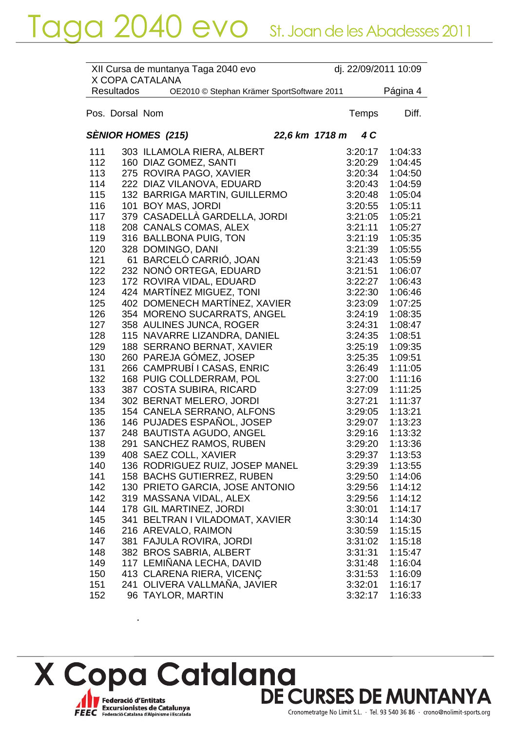|     |                   | XII Cursa de muntanya Taga 2040 evo<br>X COPA CATALANA | dj. 22/09/2011 10:09 |          |
|-----|-------------------|--------------------------------------------------------|----------------------|----------|
|     | <b>Resultados</b> | OE2010 © Stephan Krämer SportSoftware 2011             |                      | Página 4 |
|     | Pos. Dorsal Nom   |                                                        | Temps                | Diff.    |
|     |                   | <b>SÈNIOR HOMES (215)</b><br>22,6 km 1718 m            | 4 C                  |          |
| 111 |                   | 303 ILLAMOLA RIERA, ALBERT                             | 3:20:17              | 1:04:33  |
| 112 |                   | 160 DIAZ GOMEZ, SANTI                                  | 3:20:29              | 1:04:45  |
| 113 |                   | 275 ROVIRA PAGO, XAVIER                                | 3:20:34              | 1:04:50  |
| 114 |                   | 222 DIAZ VILANOVA, EDUARD                              | 3:20:43              | 1:04:59  |
| 115 |                   | 132 BARRIGA MARTIN, GUILLERMO                          | 3:20:48              | 1:05:04  |
| 116 |                   | 101 BOY MAS, JORDI                                     | 3:20:55              | 1:05:11  |
| 117 |                   | 379 CASADELLÀ GARDELLA, JORDI                          | 3:21:05              | 1:05:21  |
| 118 |                   | 208 CANALS COMAS, ALEX                                 | 3:21:11              | 1:05:27  |
| 119 |                   | 316 BALLBONA PUIG, TON                                 | 3:21:19              | 1:05:35  |
| 120 |                   | 328 DOMINGO, DANI                                      | 3:21:39              | 1:05:55  |
| 121 |                   | 61 BARCELÓ CARRIÓ, JOAN                                | 3:21:43              | 1:05:59  |
| 122 |                   | 232 NONÓ ORTEGA, EDUARD                                | 3:21:51              | 1:06:07  |
| 123 |                   | 172 ROVIRA VIDAL, EDUARD                               | 3:22:27              | 1:06:43  |
| 124 |                   | 424 MARTÍNEZ MIGUEZ, TONI                              | 3:22:30              | 1:06:46  |
| 125 |                   | 402 DOMENECH MARTINEZ, XAVIER                          | 3:23:09              | 1:07:25  |
| 126 |                   | 354 MORENO SUCARRATS, ANGEL                            | 3:24:19              | 1:08:35  |
| 127 |                   | 358 AULINES JUNCA, ROGER                               | 3:24:31              | 1:08:47  |
| 128 |                   | 115 NAVARRE LIZANDRA, DANIEL                           | 3:24:35              | 1:08:51  |
| 129 |                   | 188 SERRANO BERNAT, XAVIER                             | 3:25:19              | 1:09:35  |
| 130 |                   | 260 PAREJA GÓMEZ, JOSEP                                | 3:25:35              | 1:09:51  |
| 131 |                   | 266 CAMPRUBÍ I CASAS, ENRIC                            | 3:26:49              | 1:11:05  |
| 132 |                   | 168 PUIG COLLDERRAM, POL                               | 3:27:00              | 1:11:16  |
| 133 |                   | 387 COSTA SUBIRA, RICARD                               | 3:27:09              | 1:11:25  |
| 134 |                   | 302 BERNAT MELERO, JORDI                               | 3:27:21              | 1:11:37  |
| 135 |                   | 154 CANELA SERRANO, ALFONS                             | 3:29:05              | 1:13:21  |
| 136 |                   | 146 PUJADES ESPAÑOL, JOSEP                             | 3:29:07              | 1:13:23  |
| 137 |                   | 248 BAUTISTA AGUDO, ANGEL                              | 3:29:16              | 1:13:32  |
| 138 |                   | 291 SANCHEZ RAMOS, RUBEN                               | 3:29:20              | 1:13:36  |
| 139 |                   | 408 SAEZ COLL, XAVIER                                  | 3:29:37              | 1:13:53  |
| 140 |                   | 136 RODRIGUEZ RUIZ, JOSEP MANEL                        | 3:29:39              | 1:13:55  |
| 141 |                   | 158 BACHS GUTIERREZ, RUBEN                             | 3:29:50              | 1:14:06  |
| 142 |                   | 130 PRIETO GARCIA, JOSE ANTONIO                        | 3:29:56              | 1:14:12  |
| 142 |                   | 319 MASSANA VIDAL, ALEX                                | 3:29:56              | 1:14:12  |
| 144 |                   | 178 GIL MARTINEZ, JORDI                                | 3:30:01              | 1:14:17  |
| 145 |                   | 341 BELTRAN I VILADOMAT, XAVIER                        | 3:30:14              | 1:14:30  |
| 146 |                   | 216 AREVALO, RAIMON                                    | 3:30:59              | 1:15:15  |
| 147 |                   | 381 FAJULA ROVIRA, JORDI                               | 3:31:02              | 1:15:18  |
| 148 |                   | 382 BROS SABRIA, ALBERT                                | 3:31:31              | 1:15:47  |
| 149 |                   | 117 LEMINANA LECHA, DAVID                              | 3:31:48              | 1:16:04  |
| 150 |                   | 413 CLARENA RIERA, VICENÇ                              | 3:31:53              | 1:16:09  |
| 151 |                   | 241 OLIVERA VALLMAÑA, JAVIER                           | 3:32:01              | 1:16:17  |
| 152 |                   | 96 TAYLOR, MARTIN                                      | 3:32:17              | 1:16:33  |

X Copa Catalana<br>DE CURSES DE MUNTANYA Federació d'Entitats<br>FEEC Federació Catalana d'Alpinisme i Escalada

 $\overline{a}$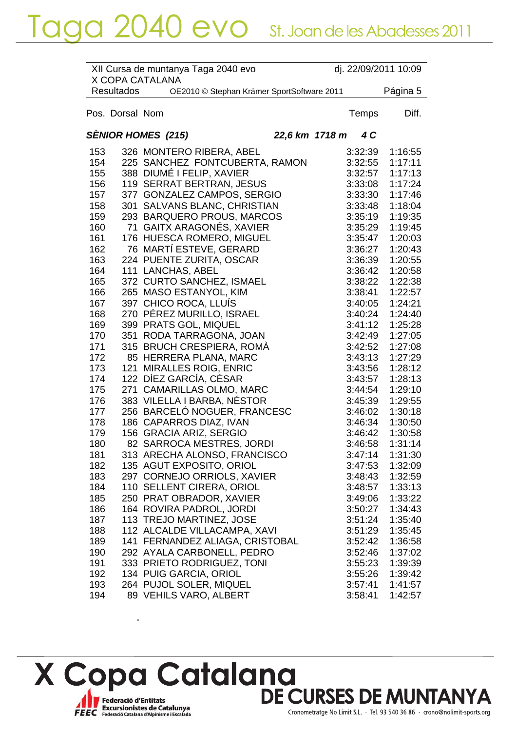|     |                   | XII Cursa de muntanya Taga 2040 evo<br>X COPA CATALANA |  |         | dj. 22/09/2011 10:09 |
|-----|-------------------|--------------------------------------------------------|--|---------|----------------------|
|     | <b>Resultados</b> | OE2010 © Stephan Krämer SportSoftware 2011             |  |         | Página 5             |
|     | Pos. Dorsal Nom   |                                                        |  | Temps   | Diff.                |
|     |                   | <b>SENIOR HOMES (215)</b><br>22,6 km 1718 m            |  | 4 C     |                      |
| 153 |                   | 326 MONTERO RIBERA, ABEL                               |  | 3:32:39 | 1:16:55              |
| 154 |                   | 225 SANCHEZ FONTCUBERTA, RAMON                         |  | 3:32:55 | 1:17:11              |
| 155 |                   | 388 DIUMÉ I FELIP, XAVIER                              |  | 3:32:57 | 1:17:13              |
| 156 |                   | 119 SERRAT BERTRAN, JESUS                              |  | 3:33:08 | 1:17:24              |
| 157 |                   | 377 GONZALEZ CAMPOS, SERGIO                            |  | 3:33:30 | 1:17:46              |
| 158 |                   | 301 SALVANS BLANC, CHRISTIAN                           |  | 3:33:48 | 1:18:04              |
| 159 |                   | 293 BARQUERO PROUS, MARCOS                             |  | 3:35:19 | 1:19:35              |
| 160 |                   | 71 GAITX ARAGONÉS, XAVIER                              |  | 3:35:29 | 1:19:45              |
| 161 |                   | 176 HUESCA ROMERO, MIGUEL                              |  | 3:35:47 | 1:20:03              |
| 162 |                   | 76 MARTÍ ESTEVE, GERARD                                |  | 3:36:27 | 1:20:43              |
| 163 |                   | 224 PUENTE ZURITA, OSCAR                               |  | 3:36:39 | 1:20:55              |
| 164 |                   | 111 LANCHAS, ABEL                                      |  | 3:36:42 | 1:20:58              |
| 165 |                   | 372 CURTO SANCHEZ, ISMAEL                              |  | 3:38:22 | 1:22:38              |
| 166 |                   | 265 MASO ESTANYOL, KIM                                 |  | 3:38:41 | 1:22:57              |
| 167 |                   | 397 CHICO ROCA, LLUÍS                                  |  | 3:40:05 | 1:24:21              |
| 168 |                   | 270 PÉREZ MURILLO, ISRAEL                              |  | 3:40:24 | 1:24:40              |
| 169 |                   | 399 PRATS GOL, MIQUEL                                  |  | 3:41:12 | 1:25:28              |
| 170 |                   | 351 RODA TARRAGONA, JOAN                               |  | 3:42:49 | 1:27:05              |
| 171 |                   | 315 BRUCH CRESPIERA, ROMÀ                              |  | 3:42:52 | 1:27:08              |
| 172 |                   | 85 HERRERA PLANA, MARC                                 |  | 3:43:13 | 1:27:29              |
| 173 | 121               | <b>MIRALLES ROIG, ENRIC</b>                            |  | 3:43:56 | 1:28:12              |
| 174 |                   | 122 DÍEZ GARCÍA, CÉSAR                                 |  | 3:43:57 | 1:28:13              |
| 175 |                   | 271 CAMARILLAS OLMO, MARC                              |  | 3:44:54 | 1:29:10              |
| 176 |                   | 383 VILELLA I BARBA, NÉSTOR                            |  | 3:45:39 | 1:29:55              |
| 177 |                   | 256 BARCELÓ NOGUER, FRANCESC                           |  | 3:46:02 | 1:30:18              |
| 178 |                   | 186 CAPARROS DIAZ, IVAN                                |  | 3:46:34 | 1:30:50              |
| 179 |                   | 156 GRACIA ARIZ, SERGIO                                |  | 3:46:42 | 1:30:58              |
| 180 |                   | 82 SARROCA MESTRES, JORDI                              |  | 3:46:58 | 1:31:14              |
| 181 |                   | 313 ARECHA ALONSO, FRANCISCO                           |  | 3:47:14 | 1:31:30              |
| 182 |                   | 135 AGUT EXPOSITO, ORIOL                               |  | 3:47:53 | 1:32:09              |
| 183 |                   | 297 CORNEJO ORRIOLS, XAVIER                            |  | 3:48:43 | 1:32:59              |
| 184 |                   | 110 SELLENT CIRERA, ORIOL                              |  | 3:48:57 | 1:33:13              |
| 185 |                   | 250 PRAT OBRADOR, XAVIER                               |  | 3:49:06 | 1:33:22              |
| 186 |                   | 164 ROVIRA PADROL, JORDI                               |  | 3:50:27 | 1:34:43              |
| 187 |                   | 113 TREJO MARTINEZ, JOSE                               |  | 3:51:24 | 1:35:40              |
| 188 |                   | 112 ALCALDE VILLACAMPA, XAVI                           |  | 3:51:29 | 1:35:45              |
| 189 |                   | 141 FERNANDEZ ALIAGA, CRISTOBAL                        |  | 3:52:42 | 1:36:58              |
| 190 |                   | 292 AYALA CARBONELL, PEDRO                             |  | 3:52:46 | 1:37:02              |
| 191 |                   | 333 PRIETO RODRIGUEZ, TONI                             |  | 3:55:23 | 1:39:39              |
| 192 |                   | 134 PUIG GARCIA, ORIOL                                 |  | 3:55:26 | 1:39:42              |
| 193 |                   | 264 PUJOL SOLER, MIQUEL                                |  | 3:57:41 | 1:41:57              |
| 194 |                   | 89 VEHILS VARO, ALBERT                                 |  | 3:58:41 | 1:42:57              |

X Copa Catalana<br>DE CURSES DE MUNTANYA Federació d'Entitats<br>FEEC Federació Catalana d'Alpinisme i Escalada

 $\overline{a}$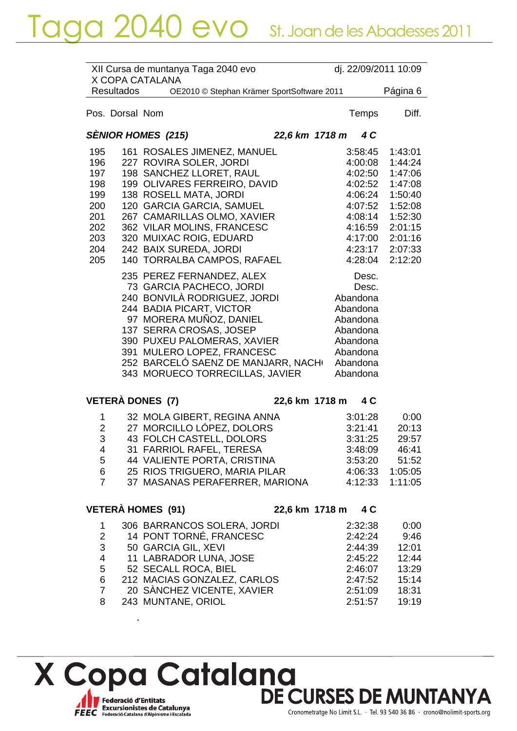|     |                   | X COPA CATALANA           | XII Cursa de muntanya Taga 2040 evo        |                |          | dj. 22/09/2011 10:09 |
|-----|-------------------|---------------------------|--------------------------------------------|----------------|----------|----------------------|
|     | <b>Resultados</b> |                           | OE2010 © Stephan Krämer SportSoftware 2011 |                |          | Página 6             |
|     |                   |                           |                                            |                |          |                      |
|     | Pos. Dorsal Nom   |                           |                                            |                | Temps    | Diff.                |
|     |                   |                           |                                            |                |          |                      |
|     |                   | <b>SÈNIOR HOMES (215)</b> |                                            | 22,6 km 1718 m | 4 C      |                      |
| 195 |                   |                           | 161 ROSALES JIMENEZ, MANUEL                |                | 3:58:45  | 1:43:01              |
| 196 |                   |                           | 227 ROVIRA SOLER, JORDI                    |                | 4:00:08  | 1:44:24              |
| 197 |                   |                           | 198 SANCHEZ LLORET, RAUL                   |                | 4:02:50  | 1:47:06              |
| 198 |                   |                           | 199 OLIVARES FERREIRO, DAVID               |                | 4:02:52  | 1:47:08              |
| 199 |                   |                           | 138 ROSELL MATA, JORDI                     |                | 4:06:24  | 1:50:40              |
| 200 |                   |                           | 120 GARCIA GARCIA, SAMUEL                  |                | 4:07:52  | 1:52:08              |
| 201 |                   |                           | 267 CAMARILLAS OLMO, XAVIER                |                | 4:08:14  | 1:52:30              |
| 202 |                   |                           | 362 VILAR MOLINS, FRANCESC                 |                | 4:16:59  | 2:01:15              |
| 203 |                   |                           | 320 MUIXAC ROIG, EDUARD                    |                | 4:17:00  | 2:01:16              |
| 204 |                   |                           | 242 BAIX SUREDA, JORDI                     |                | 4:23:17  | 2:07:33              |
| 205 |                   |                           | 140 TORRALBA CAMPOS, RAFAEL                |                | 4:28:04  | 2:12:20              |
|     |                   |                           | 235 PEREZ FERNANDEZ, ALEX                  |                | Desc.    |                      |
|     |                   |                           | 73 GARCIA PACHECO, JORDI                   |                | Desc.    |                      |
|     |                   |                           | 240 BONVILÀ RODRIGUEZ, JORDI               |                | Abandona |                      |
|     |                   |                           | 244 BADIA PICART, VICTOR                   |                | Abandona |                      |
|     |                   |                           | 97 MORERA MUÑOZ, DANIEL                    |                | Abandona |                      |
|     |                   |                           | 137 SERRA CROSAS, JOSEP                    |                | Abandona |                      |
|     |                   |                           | 390 PUXEU PALOMERAS, XAVIER                |                | Abandona |                      |
|     |                   |                           | 391 MULERO LOPEZ, FRANCESC                 |                | Abandona |                      |
|     |                   |                           | 252 BARCELÓ SAENZ DE MANJARR, NACH         |                | Abandona |                      |
|     |                   |                           | 343 MORUECO TORRECILLAS, JAVIER            |                | Abandona |                      |
|     |                   |                           |                                            |                |          |                      |
|     | $\mathbf{z}$      |                           |                                            |                |          |                      |

**VETERÀ DONES (7) 22,6 km 1718 m 4 C**

|   | 32 MOLA GIBERT, REGINA ANNA    | 3:01:28 | 0:00    |
|---|--------------------------------|---------|---------|
| 2 | 27 MORCILLO LÓPEZ, DOLORS      | 3:21:41 | 20:13   |
| 3 | 43 FOLCH CASTELL, DOLORS       | 3:31:25 | 29:57   |
| 4 | 31 FARRIOL RAFEL, TERESA       | 3:48:09 | 46:41   |
| 5 | 44 VALIENTE PORTA, CRISTINA    | 3:53:20 | 51:52   |
| 6 | 25 RIOS TRIGUERO, MARIA PILAR  | 4:06:33 | 1:05:05 |
| 7 | 37 MASANAS PERAFERRER, MARIONA | 4:12:33 | 1:11:05 |
|   |                                |         |         |

 $\bar{\mathbf{r}}$ 

**VETERÀ HOMES (91) 22,6 km 1718 m 4 C**

| 1 | 306 BARRANCOS SOLERA, JORDI | 2:32:38 | 0:00  |
|---|-----------------------------|---------|-------|
| 2 | 14 PONT TORNÉ, FRANCESC     | 2:42:24 | 9:46  |
| 3 | 50 GARCIA GIL, XEVI         | 2:44:39 | 12:01 |
| 4 | 11 LABRADOR LUNA, JOSE      | 2:45:22 | 12:44 |
| 5 | 52 SECALL ROCA, BIEL        | 2:46:07 | 13:29 |
| 6 | 212 MACIAS GONZALEZ, CARLOS | 2:47:52 | 15:14 |
| 7 | 20 SANCHEZ VICENTE, XAVIER  | 2:51:09 | 18:31 |
| 8 | 243 MUNTANE, ORIOL          | 2:51:57 | 19:19 |
|   |                             |         |       |

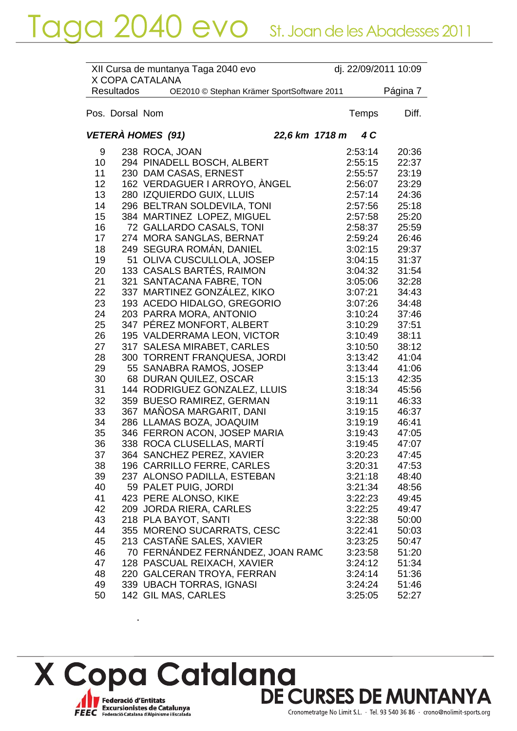| X COPA CATALANA<br><b>Resultados</b><br>OE2010 © Stephan Krämer SportSoftware 2011<br>Pos. Dorsal Nom<br>Temps | Página 7<br>Diff.<br>20:36 |
|----------------------------------------------------------------------------------------------------------------|----------------------------|
|                                                                                                                |                            |
|                                                                                                                |                            |
| VETERÀ HOMES (91)<br>22,6 km 1718 m<br>4 C                                                                     |                            |
| 238 ROCA, JOAN<br>2:53:14<br>9                                                                                 |                            |
| 294 PINADELL BOSCH, ALBERT<br>10<br>2:55:15                                                                    | 22:37                      |
| 230 DAM CASAS, ERNEST<br>11<br>2:55:57                                                                         | 23:19                      |
| 12<br>162 VERDAGUER I ARROYO, ANGEL<br>2:56:07                                                                 | 23:29                      |
| 13<br>280 IZQUIERDO GUIX, LLUIS<br>2:57:14                                                                     | 24:36                      |
| 14<br>296 BELTRAN SOLDEVILA, TONI<br>2:57:56                                                                   | 25:18                      |
| 384 MARTINEZ LOPEZ, MIGUEL<br>15<br>2:57:58                                                                    | 25:20                      |
| 72 GALLARDO CASALS, TONI<br>16<br>2:58:37                                                                      | 25:59                      |
| 17<br>274 MORA SANGLAS, BERNAT<br>2:59:24                                                                      | 26:46                      |
| 249 SEGURA ROMÁN, DANIEL<br>18<br>3:02:15                                                                      | 29:37                      |
| 19<br>OLIVA CUSCULLOLA, JOSEP<br>51<br>3:04:15                                                                 | 31:37                      |
| 133 CASALS BARTÉS, RAIMON<br>20<br>3:04:32                                                                     | 31:54                      |
| 321 SANTACANA FABRE, TON<br>21<br>3:05:06                                                                      | 32:28                      |
| 22<br>337 MARTINEZ GONZÁLEZ, KIKO<br>3:07:21                                                                   | 34:43                      |
| 23<br>193 ACEDO HIDALGO, GREGORIO<br>3:07:26                                                                   | 34:48                      |
| 24<br>203 PARRA MORA, ANTONIO<br>3:10:24                                                                       | 37:46                      |
| 347 PÉREZ MONFORT, ALBERT<br>25<br>3:10:29                                                                     | 37:51                      |
| 26<br>195 VALDERRAMA LEON, VICTOR<br>3:10:49                                                                   | 38:11                      |
| 27<br>317 SALESA MIRABET, CARLES<br>3:10:50                                                                    | 38:12                      |
| 300 TORRENT FRANQUESA, JORDI<br>28<br>3:13:42                                                                  | 41:04                      |
| 55 SANABRA RAMOS, JOSEP<br>29<br>3:13:44                                                                       | 41:06                      |
| 30<br>68 DURAN QUILEZ, OSCAR<br>3:15:13                                                                        | 42:35                      |
| 31<br>144 RODRIGUEZ GONZALEZ, LLUIS<br>3:18:34                                                                 | 45:56                      |
| 32<br>359 BUESO RAMIREZ, GERMAN<br>3:19:11                                                                     | 46:33                      |
| 367 MAÑOSA MARGARIT, DANI<br>33<br>3:19:15                                                                     | 46:37                      |
| 34<br>286 LLAMAS BOZA, JOAQUIM<br>3:19:19                                                                      | 46:41                      |
| 35<br>346 FERRON ACON, JOSEP MARIA<br>3:19:43                                                                  | 47:05                      |
| 36<br>338 ROCA CLUSELLAS, MARTI<br>3:19:45                                                                     | 47:07                      |
| 364 SANCHEZ PEREZ, XAVIER<br>3:20:23<br>37                                                                     | 47:45                      |
| 196 CARRILLO FERRE, CARLES<br>38<br>3:20:31                                                                    | 47:53                      |
| 237 ALONSO PADILLA, ESTEBAN<br>39<br>3:21:18                                                                   | 48:40                      |
| 59 PALET PUIG, JORDI<br>40<br>3:21:34                                                                          | 48:56                      |
| 423 PERE ALONSO, KIKE<br>41<br>3:22:23                                                                         | 49:45                      |
| 42<br>209 JORDA RIERA, CARLES<br>3:22:25                                                                       | 49:47                      |
| 43<br>218 PLA BAYOT, SANTI<br>3:22:38                                                                          | 50:00                      |
| 44<br>355 MORENO SUCARRATS, CESC<br>3:22:41                                                                    | 50:03                      |
| 213 CASTANE SALES, XAVIER<br>45<br>3:23:25                                                                     | 50:47                      |
| 70 FERNÁNDEZ FERNÁNDEZ, JOAN RAMC<br>46<br>3:23:58                                                             | 51:20                      |
| 47<br>128 PASCUAL REIXACH, XAVIER<br>3:24:12                                                                   | 51:34                      |
| 48<br>220 GALCERAN TROYA, FERRAN<br>3:24:14                                                                    | 51:36                      |
| 49<br>339 UBACH TORRAS, IGNASI<br>3:24:24                                                                      | 51:46                      |
| 50<br>142 GIL MAS, CARLES<br>3:25:05                                                                           | 52:27                      |

X Copa Catalana<br>DE CURSES DE MUNTANYA Federació d'Entitats<br>FEEC Federació Catalana d'Alpinisme i Escalada

 $\ddot{\phantom{a}}$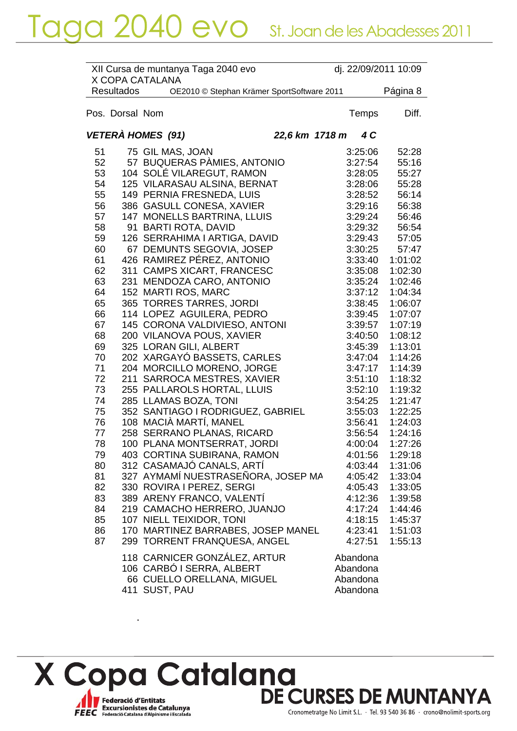|          |                   | XII Cursa de muntanya Taga 2040 evo<br>X COPA CATALANA |                    | dj. 22/09/2011 10:09 |
|----------|-------------------|--------------------------------------------------------|--------------------|----------------------|
|          | <b>Resultados</b> | OE2010 © Stephan Krämer SportSoftware 2011             |                    | Página 8             |
|          | Pos. Dorsal Nom   |                                                        | Temps              | Diff.                |
|          |                   | VETERÀ HOMES (91)<br>22,6 km 1718 m                    | 4 C                |                      |
| 51<br>52 |                   | 75 GIL MAS, JOAN<br>57 BUQUERAS PÀMIES, ANTONIO        | 3:25:06<br>3:27:54 | 52:28<br>55:16       |
| 53       |                   | 104 SOLÉ VILAREGUT, RAMON                              | 3:28:05            | 55:27                |
| 54       |                   | 125 VILARASAU ALSINA, BERNAT                           | 3:28:06            | 55:28                |
| 55       |                   | 149 PERNIA FRESNEDA, LUIS                              | 3:28:52            | 56:14                |
|          |                   |                                                        |                    |                      |
| 56       |                   | 386 GASULL CONESA, XAVIER                              | 3:29:16            | 56:38                |
| 57       |                   | 147 MONELLS BARTRINA, LLUIS                            | 3:29:24            | 56:46                |
| 58       |                   | 91 BARTI ROTA, DAVID                                   | 3:29:32            | 56:54                |
| 59       |                   | 126 SERRAHIMA I ARTIGA, DAVID                          | 3:29:43            | 57:05                |
| 60       |                   | 67 DEMUNTS SEGOVIA, JOSEP                              | 3:30:25            | 57:47                |
| 61       |                   | 426 RAMIREZ PÉREZ, ANTONIO                             | 3:33:40            | 1:01:02              |
| 62       |                   | 311 CAMPS XICART, FRANCESC                             | 3:35:08            | 1:02:30              |
| 63       |                   | 231 MENDOZA CARO, ANTONIO                              | 3:35:24            | 1:02:46              |
| 64       |                   | 152 MARTI ROS, MARC                                    | 3:37:12            | 1:04:34              |
| 65       |                   | 365 TORRES TARRES, JORDI                               | 3:38:45            | 1:06:07              |
| 66       |                   | 114 LOPEZ AGUILERA, PEDRO                              | 3:39:45            | 1:07:07              |
| 67       |                   | 145 CORONA VALDIVIESO, ANTONI                          | 3:39:57            | 1:07:19              |
| 68       |                   | 200 VILANOVA POUS, XAVIER                              | 3:40:50            | 1:08:12              |
| 69       |                   | 325 LORAN GILI, ALBERT                                 | 3:45:39            | 1:13:01              |
| 70       |                   | 202 XARGAYÓ BASSETS, CARLES                            | 3:47:04            | 1:14:26              |
| 71       |                   | 204 MORCILLO MORENO, JORGE                             | 3:47:17            | 1:14:39              |
| 72       | 211               | SARROCA MESTRES, XAVIER                                | 3:51:10            | 1:18:32              |
| 73       |                   | 255 PALLAROLS HORTAL, LLUIS                            | 3:52:10            | 1:19:32              |
| 74       |                   | 285 LLAMAS BOZA, TONI                                  | 3:54:25            | 1:21:47              |
| 75       |                   | 352 SANTIAGO I RODRIGUEZ, GABRIEL                      | 3:55:03            | 1:22:25              |
| 76       |                   | 108 MACIÀ MARTÍ, MANEL                                 | 3:56:41            | 1:24:03              |
| 77       |                   | 258 SERRANO PLANAS, RICARD                             | 3:56:54            | 1:24:16              |
| 78       |                   | 100 PLANA MONTSERRAT, JORDI                            | 4:00:04            | 1:27:26              |
| 79       |                   | 403 CORTINA SUBIRANA, RAMON                            | 4:01:56            | 1:29:18              |
| 80       |                   | 312 CASAMAJÓ CANALS, ARTÍ                              | 4:03:44            | 1:31:06              |
| 81       |                   | 327 AYMAMÍ NUESTRASEÑORA, JOSEP MA                     | 4:05:42            | 1:33:04              |
| 82       |                   | 330 ROVIRA I PEREZ, SERGI                              | 4:05:43            | 1:33:05              |
| 83       |                   | 389 ARENY FRANCO, VALENTÍ                              | 4:12:36            | 1:39:58              |
| 84       |                   | 219 CAMACHO HERRERO, JUANJO                            | 4:17:24            | 1:44:46              |
| 85       |                   | 107 NIELL TEIXIDOR, TONI                               | 4:18:15            | 1:45:37              |
| 86       |                   | 170 MARTINEZ BARRABES, JOSEP MANEL                     | 4:23:41            | 1:51:03              |
| 87       |                   | 299 TORRENT FRANQUESA, ANGEL                           | 4:27:51            | 1:55:13              |
|          |                   |                                                        |                    |                      |
|          |                   | 118 CARNICER GONZÁLEZ, ARTUR                           | Abandona           |                      |
|          |                   | 106 CARBÓ I SERRA, ALBERT                              | Abandona           |                      |
|          |                   | 66 CUELLO ORELLANA, MIGUEL                             | Abandona           |                      |
|          |                   | 411 SUST, PAU                                          | Abandona           |                      |



 $\ddot{\phantom{a}}$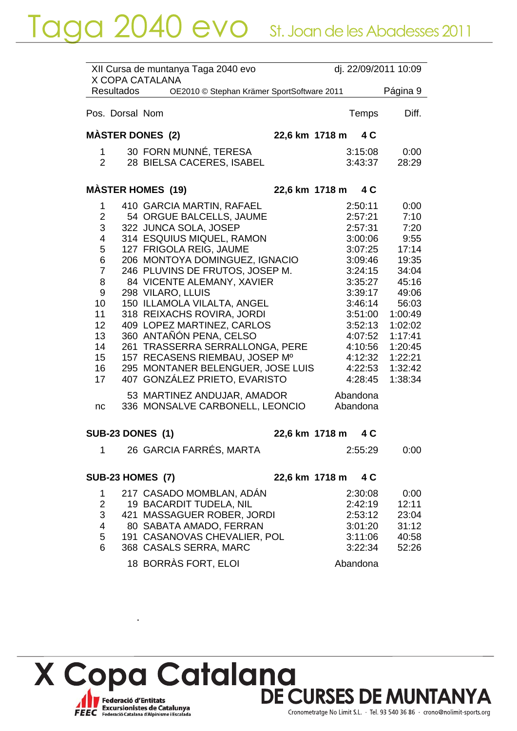|                                                                                                                     |                   | XII Cursa de muntanya Taga 2040 evo<br>X COPA CATALANA                                                                                                                                                                                                                                                                                                                                                                                                                                                                          |                |                                                                                                                                                                                         | dj. 22/09/2011 10:09                                                                                                                                            |
|---------------------------------------------------------------------------------------------------------------------|-------------------|---------------------------------------------------------------------------------------------------------------------------------------------------------------------------------------------------------------------------------------------------------------------------------------------------------------------------------------------------------------------------------------------------------------------------------------------------------------------------------------------------------------------------------|----------------|-----------------------------------------------------------------------------------------------------------------------------------------------------------------------------------------|-----------------------------------------------------------------------------------------------------------------------------------------------------------------|
|                                                                                                                     | <b>Resultados</b> | OE2010 © Stephan Krämer SportSoftware 2011                                                                                                                                                                                                                                                                                                                                                                                                                                                                                      |                |                                                                                                                                                                                         | Página 9                                                                                                                                                        |
|                                                                                                                     | Pos. Dorsal Nom   |                                                                                                                                                                                                                                                                                                                                                                                                                                                                                                                                 |                | Temps                                                                                                                                                                                   | Diff.                                                                                                                                                           |
|                                                                                                                     |                   | <b>MASTER DONES (2)</b>                                                                                                                                                                                                                                                                                                                                                                                                                                                                                                         | 22,6 km 1718 m | 4 C                                                                                                                                                                                     |                                                                                                                                                                 |
| 1.<br>$\overline{2}$                                                                                                |                   | 30 FORN MUNNÉ, TERESA<br>28 BIELSA CACERES, ISABEL                                                                                                                                                                                                                                                                                                                                                                                                                                                                              |                | 3:15:08<br>3:43:37                                                                                                                                                                      | 0:00<br>28:29                                                                                                                                                   |
|                                                                                                                     |                   | <b>MASTER HOMES (19)</b>                                                                                                                                                                                                                                                                                                                                                                                                                                                                                                        | 22,6 km 1718 m | 4 C                                                                                                                                                                                     |                                                                                                                                                                 |
| 1<br>$\overline{2}$<br>3<br>4<br>5<br>6<br>$\overline{7}$<br>8<br>9<br>10<br>11<br>12<br>13<br>14<br>15<br>16<br>17 |                   | 410 GARCIA MARTIN, RAFAEL<br>54 ORGUE BALCELLS, JAUME<br>322 JUNCA SOLA, JOSEP<br>314 ESQUIUS MIQUEL, RAMON<br>127 FRIGOLA REIG, JAUME<br>206 MONTOYA DOMINGUEZ, IGNACIO<br>246 PLUVINS DE FRUTOS, JOSEP M.<br>84 VICENTE ALEMANY, XAVIER<br>298 VILARO, LLUIS<br>150 ILLAMOLA VILALTA, ANGEL<br>318 REIXACHS ROVIRA, JORDI<br>409 LOPEZ MARTINEZ, CARLOS<br>360 ANTAÑÓN PENA, CELSO<br>261 TRASSERRA SERRALLONGA, PERE<br>157 RECASENS RIEMBAU, JOSEP Mº<br>295 MONTANER BELENGUER, JOSE LUIS<br>407 GONZÁLEZ PRIETO, EVARISTO |                | 2:50:11<br>2:57:21<br>2:57:31<br>3:00:06<br>3:07:25<br>3:09:46<br>3:24:15<br>3:35:27<br>3:39:17<br>3:46:14<br>3:51:00<br>3:52:13<br>4:07:52<br>4:10:56<br>4:12:32<br>4:22:53<br>4:28:45 | 0:00<br>7:10<br>7:20<br>9:55<br>17:14<br>19:35<br>34:04<br>45:16<br>49:06<br>56:03<br>1:00:49<br>1:02:02<br>1:17:41<br>1:20:45<br>1:22:21<br>1:32:42<br>1:38:34 |
| nc                                                                                                                  |                   | 53 MARTINEZ ANDUJAR, AMADOR<br>336 MONSALVE CARBONELL, LEONCIO                                                                                                                                                                                                                                                                                                                                                                                                                                                                  |                | Abandona<br>Abandona                                                                                                                                                                    |                                                                                                                                                                 |
|                                                                                                                     |                   | <b>SUB-23 DONES (1)</b>                                                                                                                                                                                                                                                                                                                                                                                                                                                                                                         | 22,6 km 1718 m | 4 C                                                                                                                                                                                     |                                                                                                                                                                 |
|                                                                                                                     |                   | 1 26 GARCIA FARRÉS, MARTA                                                                                                                                                                                                                                                                                                                                                                                                                                                                                                       |                | 2:55:29                                                                                                                                                                                 | 0:00                                                                                                                                                            |
|                                                                                                                     |                   | <b>SUB-23 HOMES (7)</b>                                                                                                                                                                                                                                                                                                                                                                                                                                                                                                         | 22,6 km 1718 m | 4 C                                                                                                                                                                                     |                                                                                                                                                                 |
| 1<br>$\overline{2}$<br>3<br>4<br>5<br>6                                                                             |                   | 217 CASADO MOMBLAN, ADÁN<br>19 BACARDIT TUDELA, NIL<br>421 MASSAGUER ROBER, JORDI<br>80 SABATA AMADO, FERRAN<br>191 CASANOVAS CHEVALIER, POL<br>368 CASALS SERRA, MARC<br>18 BORRÀS FORT, ELOI                                                                                                                                                                                                                                                                                                                                  |                | 2:30:08<br>2:42:19<br>2:53:12<br>3:01:20<br>3:11:06<br>3:22:34<br>Abandona                                                                                                              | 0:00<br>12:11<br>23:04<br>31:12<br>40:58<br>52:26                                                                                                               |



 $\overline{\phantom{a}}$